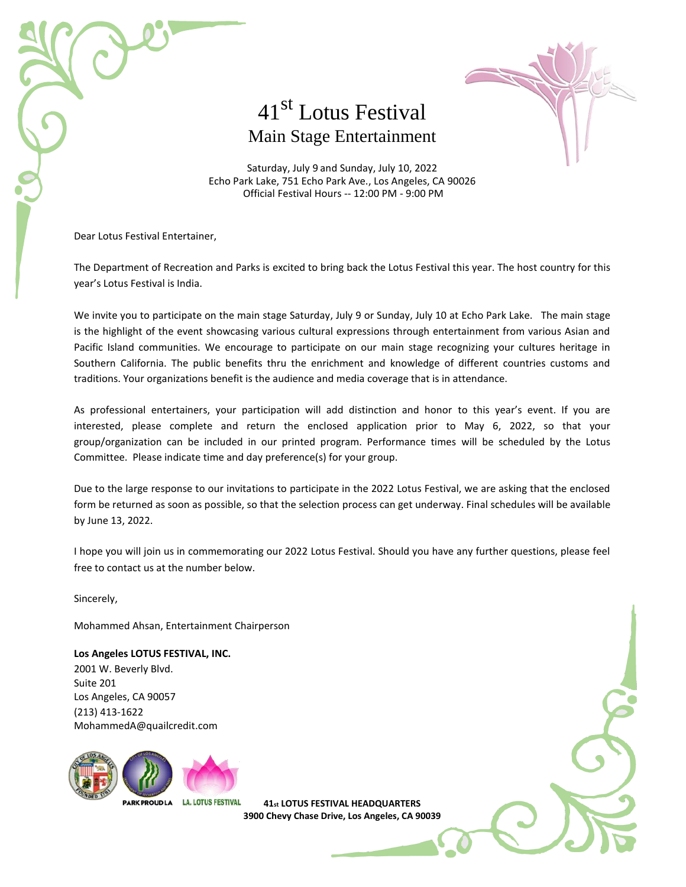

## 41st Lotus Festival Main Stage Entertainment

Saturday, July 9 and Sunday, July 10, 2022 Echo Park Lake, 751 Echo Park Ave., Los Angeles, CA 90026 Official Festival Hours -- 12:00 PM - 9:00 PM

Dear Lotus Festival Entertainer,

The Department of Recreation and Parks is excited to bring back the Lotus Festival this year. The host country for this year's Lotus Festival is India.

We invite you to participate on the main stage Saturday, July 9 or Sunday, July 10 at Echo Park Lake. The main stage is the highlight of the event showcasing various cultural expressions through entertainment from various Asian and Pacific Island communities. We encourage to participate on our main stage recognizing your cultures heritage in Southern California. The public benefits thru the enrichment and knowledge of different countries customs and traditions. Your organizations benefit is the audience and media coverage that is in attendance.

As professional entertainers, your participation will add distinction and honor to this year's event. If you are interested, please complete and return the enclosed application prior to May 6, 2022, so that your group/organization can be included in our printed program. Performance times will be scheduled by the Lotus Committee. Please indicate time and day preference(s) for your group.

Due to the large response to our invitations to participate in the 2022 Lotus Festival, we are asking that the enclosed form be returned as soon as possible, so that the selection process can get underway. Final schedules will be available by June 13, 2022.

I hope you will join us in commemorating our 2022 Lotus Festival. Should you have any further questions, please feel free to contact us at the number below.

Sincerely,

Mohammed Ahsan, Entertainment Chairperson

**Los Angeles LOTUS FESTIVAL, INC.** 2001 W. Beverly Blvd. Suite 201 Los Angeles, CA 90057 (213) 413-1622 MohammedA@quailcredit.com



**41st LOTUS FESTIVAL HEADQUARTERS 3900 Chevy Chase Drive, Los Angeles, CA 90039**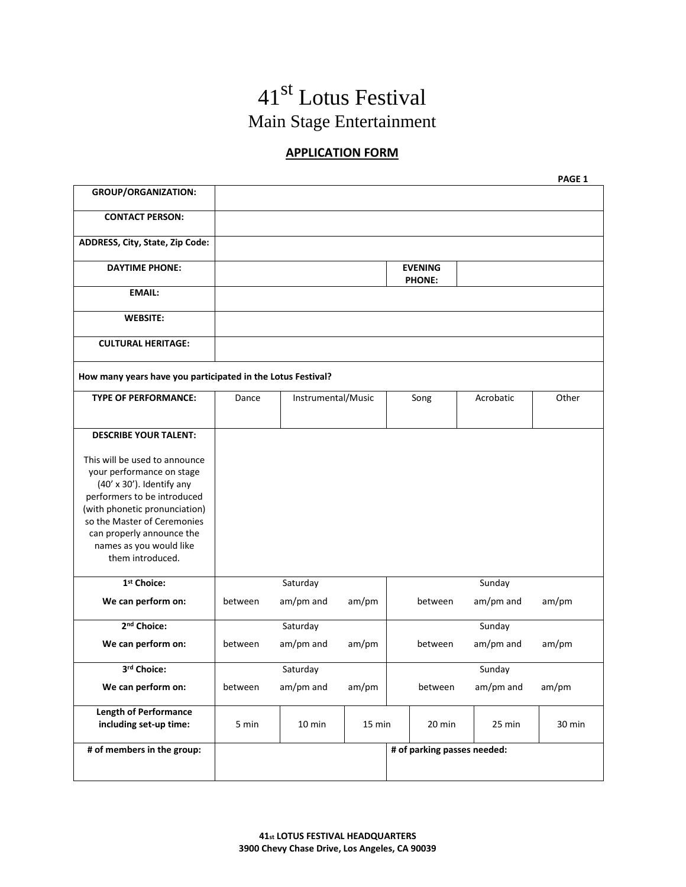# 41st Lotus Festival Main Stage Entertainment

### **APPLICATION FORM**

|                                                                                                                                                                                                                                                                    |         |                    |        |                                 |           | PAGE 1 |
|--------------------------------------------------------------------------------------------------------------------------------------------------------------------------------------------------------------------------------------------------------------------|---------|--------------------|--------|---------------------------------|-----------|--------|
| <b>GROUP/ORGANIZATION:</b>                                                                                                                                                                                                                                         |         |                    |        |                                 |           |        |
| <b>CONTACT PERSON:</b>                                                                                                                                                                                                                                             |         |                    |        |                                 |           |        |
| ADDRESS, City, State, Zip Code:                                                                                                                                                                                                                                    |         |                    |        |                                 |           |        |
| <b>DAYTIME PHONE:</b>                                                                                                                                                                                                                                              |         |                    |        | <b>EVENING</b><br><b>PHONE:</b> |           |        |
| <b>EMAIL:</b>                                                                                                                                                                                                                                                      |         |                    |        |                                 |           |        |
| <b>WEBSITE:</b>                                                                                                                                                                                                                                                    |         |                    |        |                                 |           |        |
| <b>CULTURAL HERITAGE:</b>                                                                                                                                                                                                                                          |         |                    |        |                                 |           |        |
| How many years have you participated in the Lotus Festival?                                                                                                                                                                                                        |         |                    |        |                                 |           |        |
| <b>TYPE OF PERFORMANCE:</b>                                                                                                                                                                                                                                        | Dance   | Instrumental/Music |        | Song                            | Acrobatic | Other  |
|                                                                                                                                                                                                                                                                    |         |                    |        |                                 |           |        |
| <b>DESCRIBE YOUR TALENT:</b>                                                                                                                                                                                                                                       |         |                    |        |                                 |           |        |
| This will be used to announce<br>your performance on stage<br>(40' x 30'). Identify any<br>performers to be introduced<br>(with phonetic pronunciation)<br>so the Master of Ceremonies<br>can properly announce the<br>names as you would like<br>them introduced. |         |                    |        |                                 |           |        |
| 1 <sup>st</sup> Choice:                                                                                                                                                                                                                                            |         | Saturday           |        |                                 | Sunday    |        |
| We can perform on:                                                                                                                                                                                                                                                 | between | am/pm and          | am/pm  | between                         | am/pm and | am/pm  |
| 2 <sup>nd</sup> Choice:                                                                                                                                                                                                                                            |         | Saturday           |        |                                 | Sunday    |        |
| We can perform on:                                                                                                                                                                                                                                                 | between | am/pm and          | am/pm  | between                         | am/pm and | am/pm  |
| 3rd Choice:                                                                                                                                                                                                                                                        |         | Saturday           |        |                                 | Sunday    |        |
| We can perform on:                                                                                                                                                                                                                                                 | between | am/pm and          | am/pm  | between                         | am/pm and | am/pm  |
| <b>Length of Performance</b><br>including set-up time:                                                                                                                                                                                                             | 5 min   | 10 min             | 15 min | 20 min                          | 25 min    | 30 min |
| # of members in the group:                                                                                                                                                                                                                                         |         |                    |        | # of parking passes needed:     |           |        |
|                                                                                                                                                                                                                                                                    |         |                    |        |                                 |           |        |